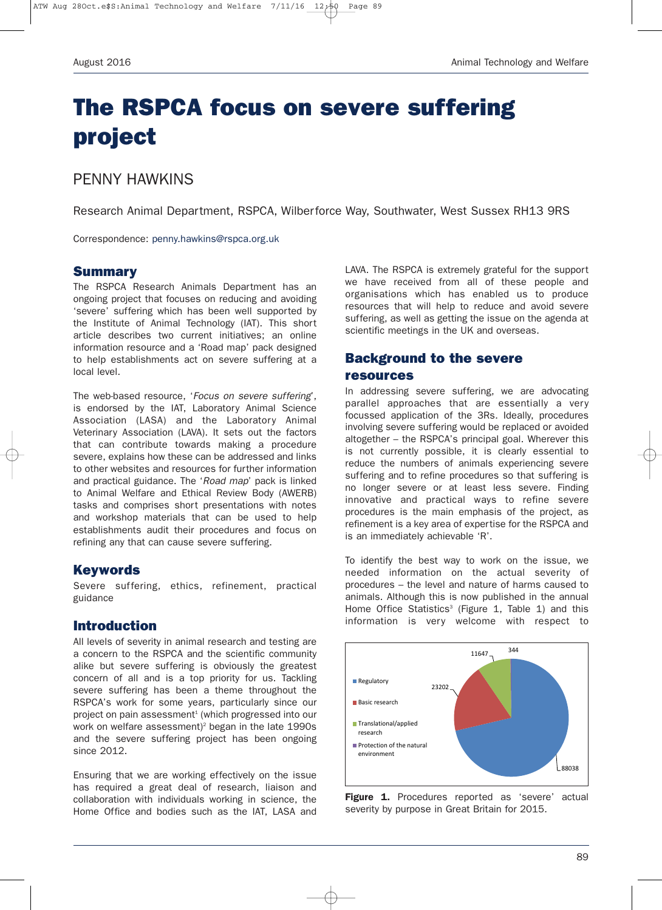# **The RSPCA focus on severe suffering project**

## PENNY HAWKINS

Research Animal Department, RSPCA, Wilberforce Way, Southwater, West Sussex RH13 9RS

Correspondence: penny.hawkins@rspca.org.uk

#### **Summary**

The RSPCA Research Animals Department has an ongoing project that focuses on reducing and avoiding 'severe' suffering which has been well supported by the Institute of Animal Technology (IAT). This short article describes two current initiatives; an online information resource and a 'Road map' pack designed to help establishments act on severe suffering at a local level.

The web-based resource, '*Focus on severe suffering*', is endorsed by the IAT, Laboratory Animal Science Association (LASA) and the Laboratory Animal Veterinary Association (LAVA). It sets out the factors that can contribute towards making a procedure severe, explains how these can be addressed and links to other websites and resources for further information and practical guidance. The '*Road map*' pack is linked to Animal Welfare and Ethical Review Body (AWERB) tasks and comprises short presentations with notes and workshop materials that can be used to help establishments audit their procedures and focus on refining any that can cause severe suffering.

#### **Keywords**

Severe suffering, ethics, refinement, practical guidance

## **Introduction**

All levels of severity in animal research and testing are a concern to the RSPCA and the scientific community alike but severe suffering is obviously the greatest concern of all and is a top priority for us. Tackling severe suffering has been a theme throughout the RSPCA's work for some years, particularly since our project on pain assessment<sup>1</sup> (which progressed into our work on welfare assessment)<sup>2</sup> began in the late  $1990s$ and the severe suffering project has been ongoing since 2012.

Ensuring that we are working effectively on the issue has required a great deal of research, liaison and collaboration with individuals working in science, the Home Office and bodies such as the IAT, LASA and LAVA. The RSPCA is extremely grateful for the support we have received from all of these people and organisations which has enabled us to produce resources that will help to reduce and avoid severe suffering, as well as getting the issue on the agenda at scientific meetings in the UK and overseas.

## **Background to the severe resources**

In addressing severe suffering, we are advocating parallel approaches that are essentially a very focussed application of the 3Rs. Ideally, procedures involving severe suffering would be replaced or avoided altogether – the RSPCA's principal goal. Wherever this is not currently possible, it is clearly essential to reduce the numbers of animals experiencing severe suffering and to refine procedures so that suffering is no longer severe or at least less severe. Finding innovative and practical ways to refine severe procedures is the main emphasis of the project, as refinement is a key area of expertise for the RSPCA and is an immediately achievable 'R'.

To identify the best way to work on the issue, we needed information on the actual severity of procedures – the level and nature of harms caused to animals. Although this is now published in the annual Home Office Statistics<sup>3</sup> (Figure 1, Table 1) and this information is very welcome with respect to



**Figure 1.** Procedures reported as 'severe' actual severity by purpose in Great Britain for 2015.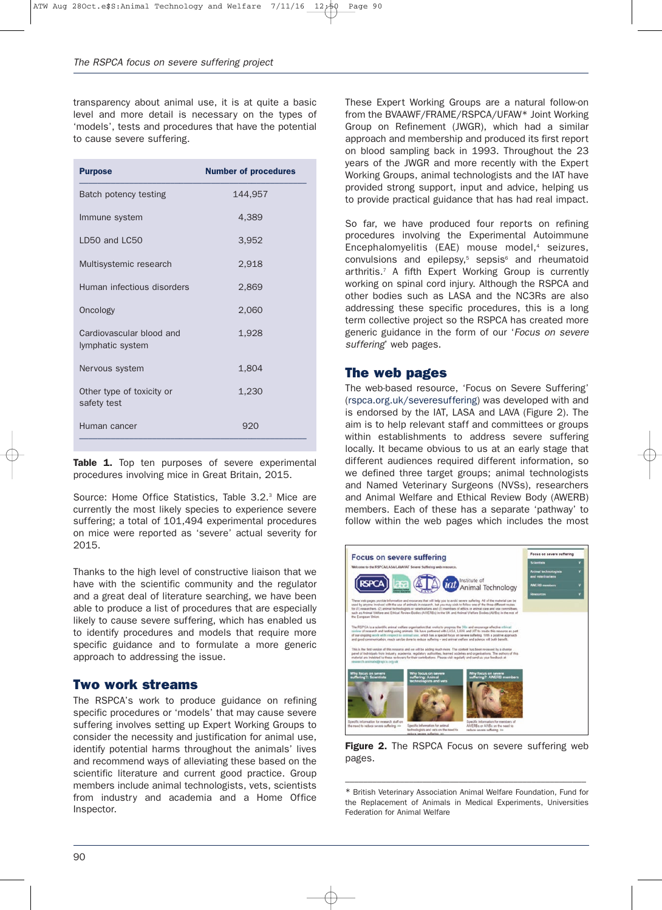transparency about animal use, it is at quite a basic level and more detail is necessary on the types of 'models', tests and procedures that have the potential to cause severe suffering.

| 144,957 |
|---------|
| 4.389   |
| 3,952   |
| 2,918   |
| 2,869   |
| 2,060   |
| 1,928   |
| 1,804   |
| 1,230   |
| 920     |
|         |

Table 1. Top ten purposes of severe experimental procedures involving mice in Great Britain, 2015.

Source: Home Office Statistics, Table 3.2.<sup>3</sup> Mice are currently the most likely species to experience severe suffering; a total of 101,494 experimental procedures on mice were reported as 'severe' actual severity for 2015.

Thanks to the high level of constructive liaison that we have with the scientific community and the regulator and a great deal of literature searching, we have been able to produce a list of procedures that are especially likely to cause severe suffering, which has enabled us to identify procedures and models that require more specific guidance and to formulate a more generic approach to addressing the issue.

## **Two work streams**

The RSPCA's work to produce guidance on refining specific procedures or 'models' that may cause severe suffering involves setting up Expert Working Groups to consider the necessity and justification for animal use, identify potential harms throughout the animals' lives and recommend ways of alleviating these based on the scientific literature and current good practice. Group members include animal technologists, vets, scientists from industry and academia and a Home Office Inspector.

These Expert Working Groups are a natural follow-on from the BVAAWF/FRAME/RSPCA/UFAW\* Joint Working Group on Refinement (JWGR), which had a similar approach and membership and produced its first report on blood sampling back in 1993. Throughout the 23 years of the JWGR and more recently with the Expert Working Groups, animal technologists and the IAT have provided strong support, input and advice, helping us to provide practical guidance that has had real impact.

So far, we have produced four reports on refining procedures involving the Experimental Autoimmune Encephalomyelitis  $(EAE)$  mouse model,<sup>4</sup> seizures,  $convulsions$  and epilepsy, $5$  sepsis $6$  and rheumatoid arthritis.7 A fifth Expert Working Group is currently working on spinal cord injury. Although the RSPCA and other bodies such as LASA and the NC3Rs are also addressing these specific procedures, this is a long term collective project so the RSPCA has created more generic guidance in the form of our '*Focus on severe suffering*' web pages.

## **The web pages**

The web-based resource, 'Focus on Severe Suffering' (rspca.org.uk/severesuffering) was developed with and is endorsed by the IAT, LASA and LAVA (Figure 2). The aim is to help relevant staff and committees or groups within establishments to address severe suffering locally. It became obvious to us at an early stage that different audiences required different information, so we defined three target groups; animal technologists and Named Veterinary Surgeons (NVSs), researchers and Animal Welfare and Ethical Review Body (AWERB) members. Each of these has a separate 'pathway' to follow within the web pages which includes the most



**Figure 2.** The RSPCA Focus on severe suffering web pages.

–––––––––––––––––––––––––––––––––––––––––––––––––––––

<sup>\*</sup> British Veterinary Association Animal Welfare Foundation, Fund for the Replacement of Animals in Medical Experiments, Universities Federation for Animal Welfare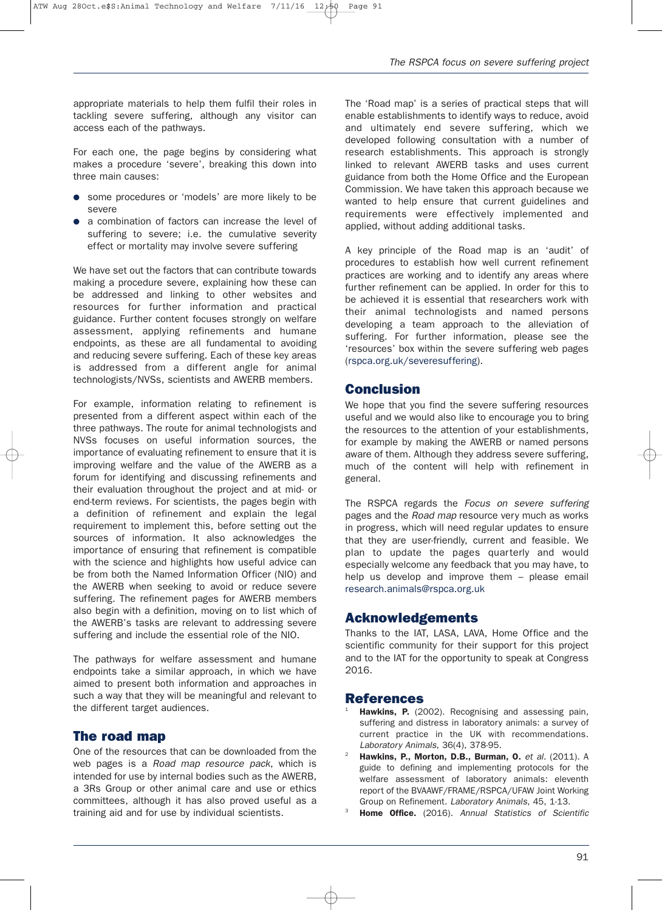appropriate materials to help them fulfil their roles in tackling severe suffering, although any visitor can access each of the pathways.

For each one, the page begins by considering what makes a procedure 'severe', breaking this down into three main causes:

- some procedures or 'models' are more likely to be severe
- a combination of factors can increase the level of suffering to severe; i.e. the cumulative severity effect or mortality may involve severe suffering

We have set out the factors that can contribute towards making a procedure severe, explaining how these can be addressed and linking to other websites and resources for further information and practical guidance. Further content focuses strongly on welfare assessment, applying refinements and humane endpoints, as these are all fundamental to avoiding and reducing severe suffering. Each of these key areas is addressed from a different angle for animal technologists/NVSs, scientists and AWERB members.

For example, information relating to refinement is presented from a different aspect within each of the three pathways. The route for animal technologists and NVSs focuses on useful information sources, the importance of evaluating refinement to ensure that it is improving welfare and the value of the AWERB as a forum for identifying and discussing refinements and their evaluation throughout the project and at mid- or end-term reviews. For scientists, the pages begin with a definition of refinement and explain the legal requirement to implement this, before setting out the sources of information. It also acknowledges the importance of ensuring that refinement is compatible with the science and highlights how useful advice can be from both the Named Information Officer (NIO) and the AWERB when seeking to avoid or reduce severe suffering. The refinement pages for AWERB members also begin with a definition, moving on to list which of the AWERB's tasks are relevant to addressing severe suffering and include the essential role of the NIO.

The pathways for welfare assessment and humane endpoints take a similar approach, in which we have aimed to present both information and approaches in such a way that they will be meaningful and relevant to the different target audiences.

#### **The road map**

One of the resources that can be downloaded from the web pages is a *Road map resource pack*, which is intended for use by internal bodies such as the AWERB, a 3Rs Group or other animal care and use or ethics committees, although it has also proved useful as a training aid and for use by individual scientists.

The 'Road map' is a series of practical steps that will enable establishments to identify ways to reduce, avoid and ultimately end severe suffering, which we developed following consultation with a number of research establishments. This approach is strongly linked to relevant AWERB tasks and uses current guidance from both the Home Office and the European Commission. We have taken this approach because we wanted to help ensure that current guidelines and requirements were effectively implemented and applied, without adding additional tasks.

A key principle of the Road map is an 'audit' of procedures to establish how well current refinement practices are working and to identify any areas where further refinement can be applied. In order for this to be achieved it is essential that researchers work with their animal technologists and named persons developing a team approach to the alleviation of suffering. For further information, please see the 'resources' box within the severe suffering web pages (rspca.org.uk/severesuffering).

#### **Conclusion**

We hope that you find the severe suffering resources useful and we would also like to encourage you to bring the resources to the attention of your establishments, for example by making the AWERB or named persons aware of them. Although they address severe suffering, much of the content will help with refinement in general.

The RSPCA regards the *Focus on severe suffering* pages and the *Road map* resource very much as works in progress, which will need regular updates to ensure that they are user-friendly, current and feasible. We plan to update the pages quarterly and would especially welcome any feedback that you may have, to help us develop and improve them – please email research.animals@rspca.org.uk

## **Acknowledgements**

Thanks to the IAT, LASA, LAVA, Home Office and the scientific community for their support for this project and to the IAT for the opportunity to speak at Congress 2016.

#### **References**

- Hawkins, P. (2002). Recognising and assessing pain, suffering and distress in laboratory animals: a survey of current practice in the UK with recommendations. *Laboratory Animals*, 36(4), 378-95.
- <sup>2</sup> **Hawkins, P., Morton, D.B., Burman, O.** *et al.* (2011). A guide to defining and implementing protocols for the welfare assessment of laboratory animals: eleventh report of the BVAAWF/FRAME/RSPCA/UFAW Joint Working Group on Refinement. *Laboratory Animals*, 45, 1-13.
- <sup>3</sup> **Home Office.** (2016). *Annual Statistics of Scientific*